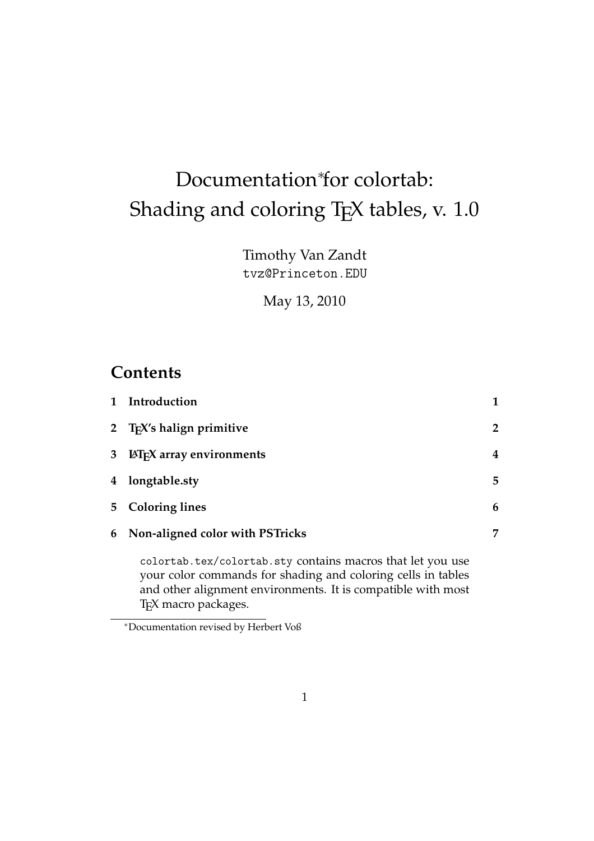# Documentation<sup>\*</sup>for colortab: Shading and coloring TEX tables, v. 1.0

Timothy Van Zandt tvz@Princeton.EDU

May 13, 2010

## **Contents**

|                | 1 Introduction                                             |                |
|----------------|------------------------------------------------------------|----------------|
|                | 2 T <sub>F</sub> X's halign primitive                      | $\overline{2}$ |
| 3 <sup>1</sup> | <b>LAT<sub>F</sub>X</b> array environments                 | 4              |
|                | 4 longtable.sty                                            | 5              |
|                | 5 Coloring lines                                           | 6              |
|                | 6 Non-aligned color with PSTricks                          | 7              |
|                | colortab.tex/colortab.sty contains macros that let you use |                |

your color commands for shading and coloring cells in tables and other alignment environments. It is compatible with most TEX macro packages.

<sup>∗</sup>Documentation revised by Herbert Voß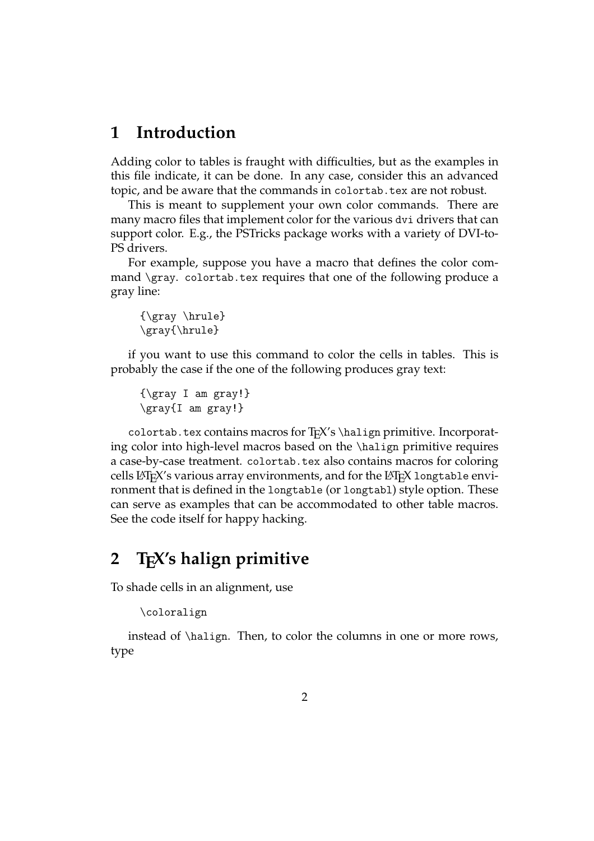#### **1 Introduction**

Adding color to tables is fraught with difficulties, but as the examples in this file indicate, it can be done. In any case, consider this an advanced topic, and be aware that the commands in colortab.tex are not robust.

This is meant to supplement your own color commands. There are many macro files that implement color for the various dvi drivers that can support color. E.g., the PSTricks package works with a variety of DVI-to-PS drivers.

For example, suppose you have a macro that defines the color command \gray. colortab.tex requires that one of the following produce a gray line:

```
{\gray \hrule}
\gray{\hrule}
```
if you want to use this command to color the cells in tables. This is probably the case if the one of the following produces gray text:

```
{\gray I am gray!}
\gray{I am gray!}
```
colortab.tex contains macros for T<sub>E</sub>X's \halign primitive. Incorporating color into high-level macros based on the \halign primitive requires a case-by-case treatment. colortab.tex also contains macros for coloring cells LATEX's various array environments, and for the LATEX longtable environment that is defined in the longtable (or longtabl) style option. These can serve as examples that can be accommodated to other table macros. See the code itself for happy hacking.

# **2 TEX's halign primitive**

To shade cells in an alignment, use

```
\coloralign
```
instead of \halign. Then, to color the columns in one or more rows, type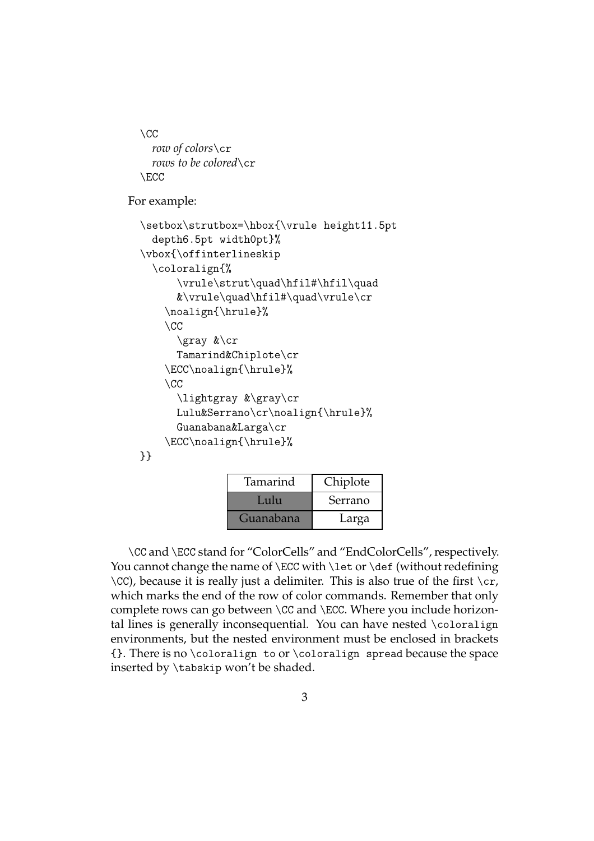```
\setminusCC
  row of colors\cr
  rows to be colored \cr
\ECC
```
For example:

```
\setbox\strutbox=\hbox{\vrule height11.5pt
  depth6.5pt width0pt}%
\vbox{\offinterlineskip
  \coloralign{%
      \vrule\strut\quad\hfil#\hfil\quad
      &\vrule\quad\hfil#\quad\vrule\cr
    \noalign{\hrule}%
    \setminusCC
      \gray &\cr
      Tamarind&Chiplote\cr
    \ECC\noalign{\hrule}%
    \setminusCC
      \lightgray &\gray\cr
      Lulu&Serrano\cr\noalign{\hrule}%
      Guanabana&Larga\cr
    \ECC\noalign{\hrule}%
}}
```

| Tamarind  | Chiplote |
|-----------|----------|
| Lulu      | Serrano  |
| Guanabana | Larga    |

\CC and \ECC stand for "ColorCells" and "EndColorCells", respectively. You cannot change the name of \ECC with \let or \def (without redefining \CC), because it is really just a delimiter. This is also true of the first \cr, which marks the end of the row of color commands. Remember that only complete rows can go between \CC and \ECC. Where you include horizontal lines is generally inconsequential. You can have nested \coloralign environments, but the nested environment must be enclosed in brackets {}. There is no \coloralign to or \coloralign spread because the space inserted by \tabskip won't be shaded.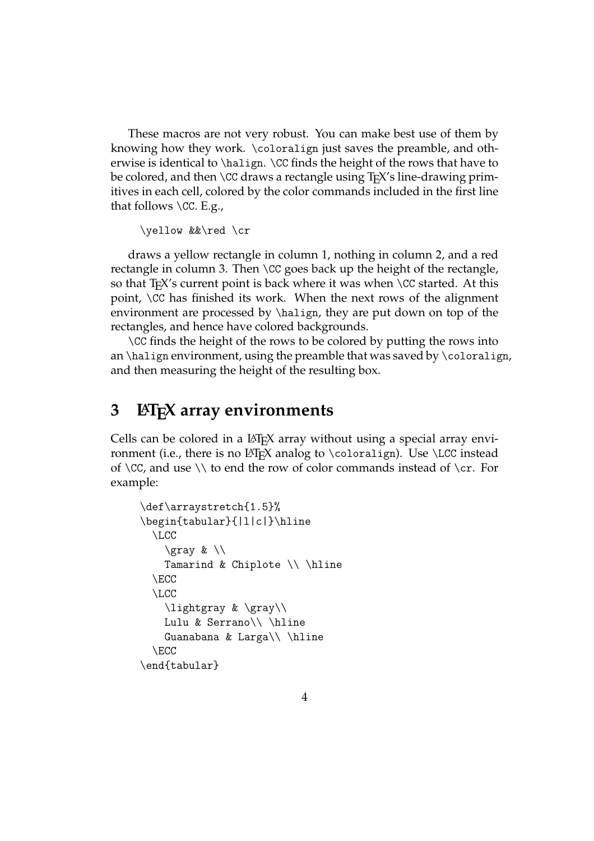These macros are not very robust. You can make best use of them by knowing how they work. \coloralign just saves the preamble, and otherwise is identical to \halign. \CC finds the height of the rows that have to be colored, and then  $\setminus$ CC draws a rectangle using  $T_{F}X'$ s line-drawing primitives in each cell, colored by the color commands included in the first line that follows  $\setminus$  CC. E.g.,

\yellow &&\red \cr

draws a yellow rectangle in column 1, nothing in column 2, and a red rectangle in column 3. Then \CC goes back up the height of the rectangle, so that  $T_F X$ 's current point is back where it was when  $\setminus CC$  started. At this point, \CC has finished its work. When the next rows of the alignment environment are processed by \halign, they are put down on top of the rectangles, and hence have colored backgrounds.

\CC finds the height of the rows to be colored by putting the rows into an  $\hbar$  an interpretation entries that was saved by  $\cosh$  and  $\hbar$ and then measuring the height of the resulting box.

#### **3 LATEX array environments**

Cells can be colored in a LAT<sub>EX</sub> array without using a special array environment (i.e., there is no LAT<sub>EX</sub> analog to \coloralign). Use \LCC instead of  $\CC$ , and use  $\setminus$  to end the row of color commands instead of  $\ccor$ . For example:

```
\def\arraystretch{1.5}%
\begin{tabular}{|l|c|}\hline
  \LCC
    \qquad \qquad \qquadTamarind & Chiplote \\ \hline
  \ECC
  \LCC
    \lightgray & \gray\\
    Lulu & Serrano\\ \hline
    Guanabana & Larga\\ \hline
  \ECC
\end{tabular}
```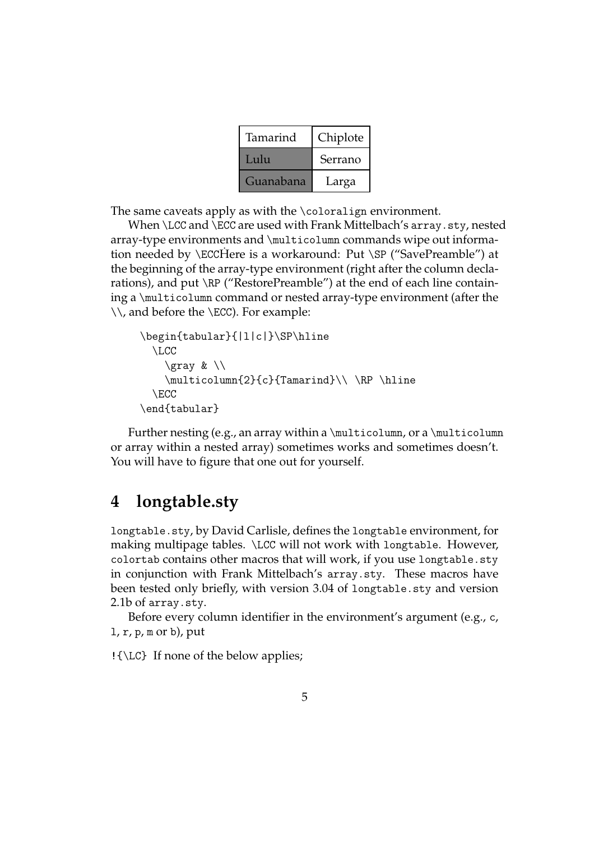| Tamarind  | Chiplote |
|-----------|----------|
| Lulu      | Serrano  |
| Guanabana | Larga    |

The same caveats apply as with the \coloralign environment.

When \LCC and \ECC are used with Frank Mittelbach's array.sty, nested array-type environments and \multicolumn commands wipe out information needed by \ECCHere is a workaround: Put \SP ("SavePreamble") at the beginning of the array-type environment (right after the column declarations), and put \RP ("RestorePreamble") at the end of each line containing a \multicolumn command or nested array-type environment (after the \\, and before the \ECC). For example:

```
\begin{tabular}{|l|c|}\SP\hline
  \LCC
    \gray & \\
    \multicolumn{2}{c}{Tamarind}\\ \RP \hline
  \ECC
\end{tabular}
```
Further nesting (e.g., an array within a  $\mathrm{t}$ ulticolumn, or a  $\mathrm{t}$ ulticolumn or array within a nested array) sometimes works and sometimes doesn't. You will have to figure that one out for yourself.

# **4 longtable.sty**

longtable.sty, by David Carlisle, defines the longtable environment, for making multipage tables. \LCC will not work with longtable. However, colortab contains other macros that will work, if you use longtable.sty in conjunction with Frank Mittelbach's array.sty. These macros have been tested only briefly, with version 3.04 of longtable.sty and version 2.1b of array.sty.

Before every column identifier in the environment's argument (e.g., c, l, r, p, m or b), put

!{\LC} If none of the below applies;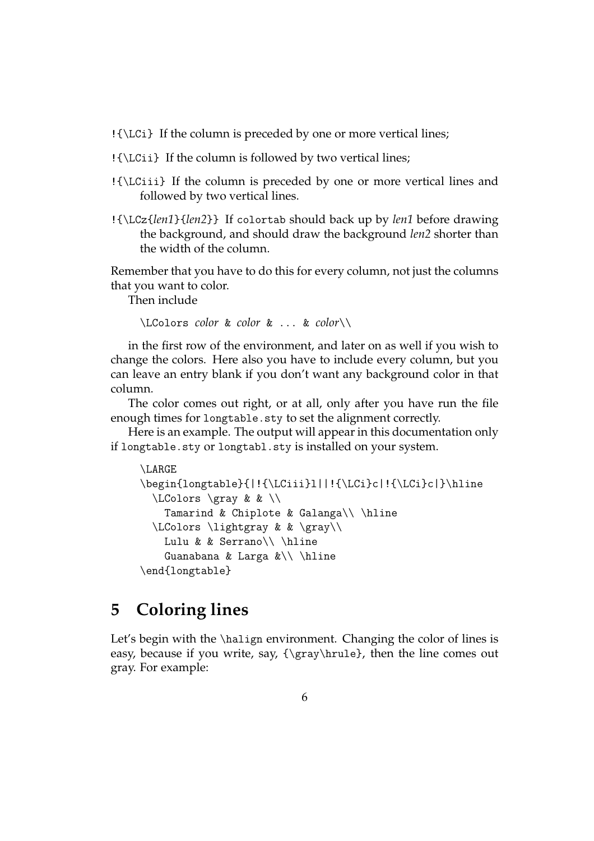- !{\LCi} If the column is preceded by one or more vertical lines;
- !{\LCii} If the column is followed by two vertical lines;
- !{\LCiii} If the column is preceded by one or more vertical lines and followed by two vertical lines.
- !{\LCz{*len1*}{*len2*}} If colortab should back up by *len1* before drawing the background, and should draw the background *len2* shorter than the width of the column.

Remember that you have to do this for every column, not just the columns that you want to color.

Then include

```
\LColors color & color & ... & color\\
```
in the first row of the environment, and later on as well if you wish to change the colors. Here also you have to include every column, but you can leave an entry blank if you don't want any background color in that column.

The color comes out right, or at all, only after you have run the file enough times for longtable.sty to set the alignment correctly.

Here is an example. The output will appear in this documentation only if longtable.sty or longtabl.sty is installed on your system.

```
\LARGE
\begin{longtable}{|!{\LCiii}l||!{\LCi}c|!{\LCi}c|}\hline
  \LColors \gray & & \\
    Tamarind & Chiplote & Galanga\\ \hline
  \LColors \lightgray & & \gray\\
    Lulu & & Serrano\\ \hline
    Guanabana & Larga &\\ \hline
\end{longtable}
```
### **5 Coloring lines**

Let's begin with the \halign environment. Changing the color of lines is easy, because if you write, say,  $\frac{\frac{\hbar}{\hbar}}{\hbar}$ , then the line comes out gray. For example: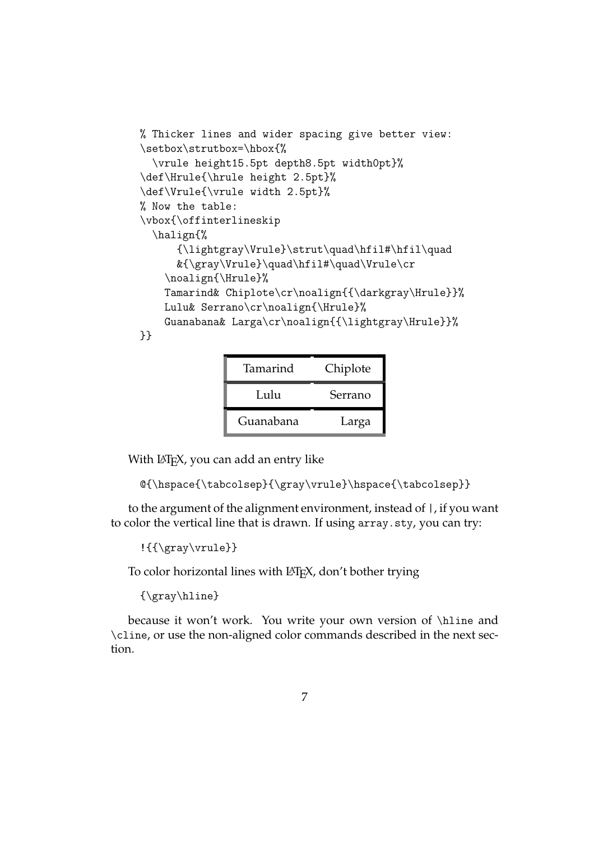```
% Thicker lines and wider spacing give better view:
\setbox\strutbox=\hbox{%
  \vrule height15.5pt depth8.5pt width0pt}%
\def\Hrule{\hrule height 2.5pt}%
\def\Vrule{\vrule width 2.5pt}%
% Now the table:
\vbox{\offinterlineskip
  \halign{%
      {\lightgray\Vrule}\strut\quad\hfil#\hfil\quad
      &{\gray\Vrule}\quad\hfil#\quad\Vrule\cr
    \noalign{\Hrule}%
    Tamarind& Chiplote\cr\noalign{{\darkgray\Hrule}}%
    Lulu& Serrano\cr\noalign{\Hrule}%
    Guanabana& Larga\cr\noalign{{\lightgray\Hrule}}%
```

```
}}
```

| Tamarind  | Chiplote |
|-----------|----------|
| Lulu      | Serrano  |
| Guanabana | Larga    |

With LATEX, you can add an entry like

@{\hspace{\tabcolsep}{\gray\vrule}\hspace{\tabcolsep}}

to the argument of the alignment environment, instead of |, if you want to color the vertical line that is drawn. If using array.sty, you can try:

!{{\gray\vrule}}

To color horizontal lines with LAT<sub>E</sub>X, don't bother trying

{\gray\hline}

because it won't work. You write your own version of \hline and \cline, or use the non-aligned color commands described in the next section.